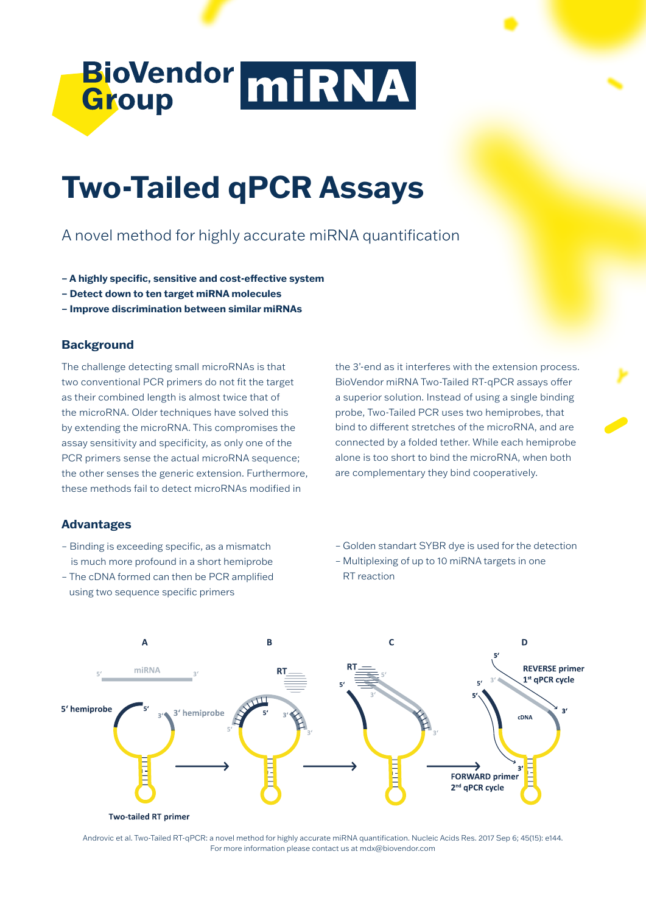

# **Two-Tailed qPCR Assays**

## A novel method for highly accurate miRNA quantification

- **A highly specific, sensitive and cost-effective system**
- **Detect down to ten target miRNA molecules**
- **Improve discrimination between similar miRNAs**

### **Background**

The challenge detecting small microRNAs is that two conventional PCR primers do not fit the target as their combined length is almost twice that of the microRNA. Older techniques have solved this by extending the microRNA. This compromises the assay sensitivity and specificity, as only one of the PCR primers sense the actual microRNA sequence; the other senses the generic extension. Furthermore, these methods fail to detect microRNAs modified in

the 3'-end as it interferes with the extension process. BioVendor miRNA Two-Tailed RT-qPCR assays offer a superior solution. Instead of using a single binding probe, Two-Tailed PCR uses two hemiprobes, that bind to different stretches of the microRNA, and are connected by a folded tether. While each hemiprobe alone is too short to bind the microRNA, when both are complementary they bind cooperatively.

#### **Advantages**

- Binding is exceeding specific, as a mismatch is much more profound in a short hemiprobe
- The cDNA formed can then be PCR amplified using two sequence specific primers
- Golden standart SYBR dye is used for the detection
- Multiplexing of up to 10 miRNA targets in one RT reaction



Androvic et al. Two-Tailed RT-qPCR: a novel method for highly accurate miRNA quantification. Nucleic Acids Res. 2017 Sep 6; 45(15): e144. For more information please contact us at mdx@biovendor.com